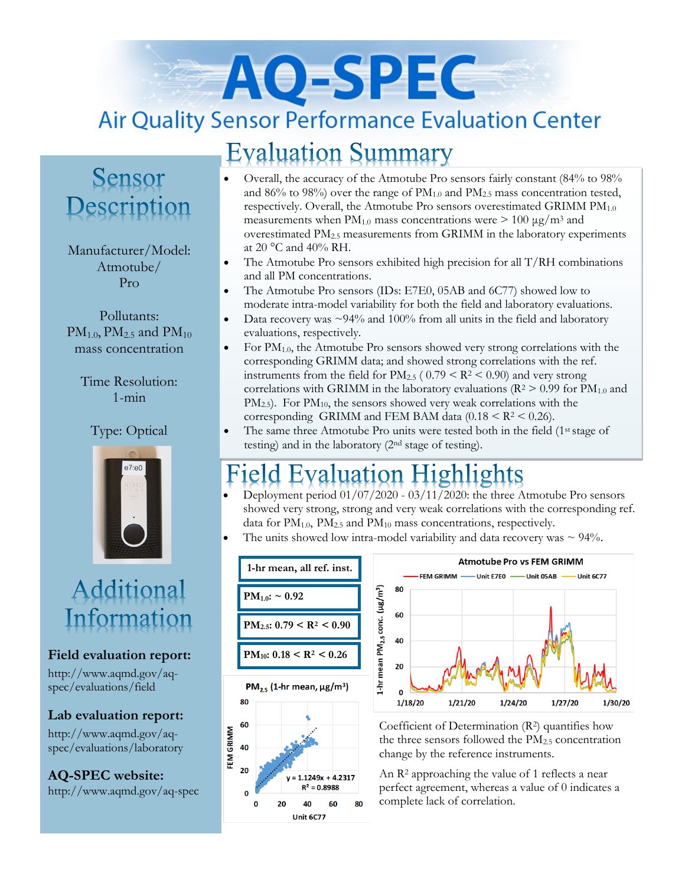# AO-SPEC **Air Quality Sensor Performance Evaluation Center**

# **Evaluation Summary**

### Sensor Description

Manufacturer/Model: Atmotube/ Pro

Pollutants:  $PM_{1.0}$ ,  $PM_{2.5}$  and  $PM_{10}$ mass concentration

Time Resolution: 1-min

#### Type: Optical



# Additional Information

#### **Field evaluation report:**

http://www.aqmd.gov/aqspec/evaluations/field

#### **Lab evaluation report:**

http://www.aqmd.gov/aqspec/evaluations/laboratory

**AQ-SPEC website:**  http://www.aqmd.gov/aq-spec

- Overall, the accuracy of the Atmotube Pro sensors fairly constant (84% to 98% and  $86\%$  to  $98\%$ ) over the range of  $PM_{1.0}$  and  $PM_{2.5}$  mass concentration tested, respectively. Overall, the Atmotube Pro sensors overestimated GRIMM PM<sub>1.0</sub> measurements when  $PM_{1.0}$  mass concentrations were  $> 100 \mu g/m^3$  and overestimated PM2.5 measurements from GRIMM in the laboratory experiments at 20 °C and 40% RH.
- The Atmotube Pro sensors exhibited high precision for all  $T/RH$  combinations and all PM concentrations.
- The Atmotube Pro sensors (IDs: E7E0, 05AB and 6C77) showed low to moderate intra-model variability for both the field and laboratory evaluations.
- Data recovery was  $\sim$ 94% and 100% from all units in the field and laboratory evaluations, respectively.
- For  $PM_{1.0}$ , the Atmotube Pro sensors showed very strong correlations with the corresponding GRIMM data; and showed strong correlations with the ref. instruments from the field for  $PM_{2.5}$  (  $0.79 < R^2 < 0.90$ ) and very strong correlations with GRIMM in the laboratory evaluations ( $R^2 > 0.99$  for  $PM_{1.0}$  and PM<sub>2.5</sub>). For PM<sub>10</sub>, the sensors showed very weak correlations with the corresponding GRIMM and FEM BAM data  $(0.18 \le R^2 \le 0.26)$ .
- The same three Atmotube Pro units were tested both in the field (1<sup>st</sup> stage of testing) and in the laboratory (2nd stage of testing).

# **Evaluation Highlights**

- Deployment period 01/07/2020 03/11/2020: the three Atmotube Pro sensors showed very strong, strong and very weak correlations with the corresponding ref. data for PM<sub>1.0</sub>, PM<sub>2.5</sub> and PM<sub>10</sub> mass concentrations, respectively.
- The units showed low intra-model variability and data recovery was  $\sim$  94%.





Coefficient of Determination (R2) quantifies how the three sensors followed the  $PM<sub>2.5</sub>$  concentration change by the reference instruments.

An R<sup>2</sup> approaching the value of 1 reflects a near perfect agreement, whereas a value of 0 indicates a complete lack of correlation.